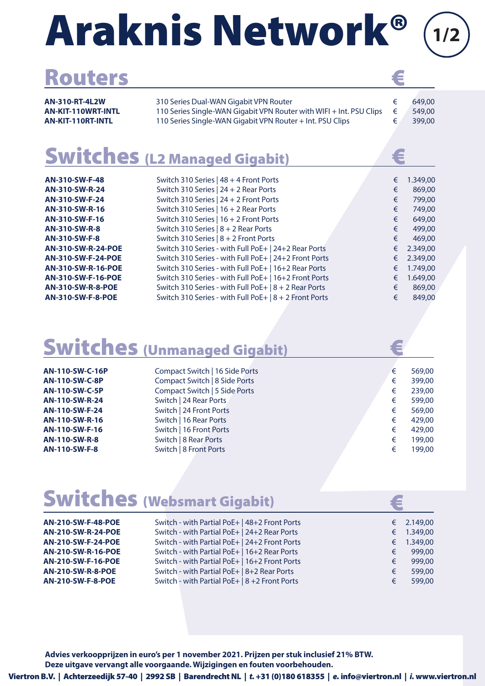# Araknis Network®

| <b>Routers</b> |  |
|----------------|--|
|                |  |

| <b>AN-310-RT-4L2W</b> | 310 Series Dual-WAN Gigabit VPN Router                              | 649.00 |
|-----------------------|---------------------------------------------------------------------|--------|
| AN-KIT-110WRT-INTL    | 110 Series Single-WAN Gigabit VPN Router with WIFI + Int. PSU Clips | 549.00 |
| AN-KIT-110RT-INTL     | 110 Series Single-WAN Gigabit VPN Router + Int. PSU Clips           | 399,00 |
|                       |                                                                     |        |

**1/2**

### Switches (L2 Managed Gigabit)

| 310 Series Dual-WAN Gigabit VPN Router<br>649,00<br>€<br>110 Series Single-WAN Gigabit VPN Router with WIFI + Int. PSU Clips<br>549,00<br>€<br>110 Series Single-WAN Gigabit VPN Router + Int. PSU Clips<br>€<br>399,00<br>€<br>Switch 310 Series   48 + 4 Front Ports<br>1.349,00<br>€<br>Switch 310 Series   24 + 2 Rear Ports<br>869,00<br>Switch 310 Series   24 + 2 Front Ports<br>799,00<br>Switch 310 Series   16 + 2 Rear Ports<br>749,00<br>€<br>Switch 310 Series   16 + 2 Front Ports<br>649,00<br>€<br>Switch 310 Series $ 8 + 2$ Rear Ports<br>499,00<br>Switch 310 Series   8 + 2 Front Ports<br>469,00<br>Switch 310 Series - with Full PoE+   24+2 Rear Ports<br>2.349,00<br>Switch 310 Series - with Full PoE+   24+2 Front Ports<br>2.349,00<br>Switch 310 Series - with Full PoE+   16+2 Rear Ports<br>1.749,00<br>Switch 310 Series - with Full PoE+   16+2 Front Ports<br>1.649,00<br>Switch 310 Series - with Full PoE+   8 + 2 Rear Ports<br>869,00<br>Switch 310 Series - with Full PoE+   8 + 2 Front Ports<br>849,00<br>€<br>Compact Switch   16 Side Ports<br>569,00<br>€<br>Compact Switch   8 Side Ports<br>399,00<br>€<br>Compact Switch   5 Side Ports<br>239,00<br>€<br>Switch   24 Rear Ports<br>599,00<br>€<br>Switch   24 Front Ports<br>€<br>569,00<br>Switch   16 Rear Ports<br>429,00<br>€<br>Switch   16 Front Ports<br>429,00<br>€<br>Switch   8 Rear Ports<br>199,00<br>€<br>Switch   8 Front Ports<br>€<br>199,00<br>€<br>Switch - with Partial PoE+   48+2 Front Ports<br>2.149,00<br>€<br>Switch - with Partial PoE+   24+2 Rear Ports<br>1.349,00<br>Switch - with Partial PoE+   24+2 Front Ports<br>1.349,00<br>€<br>Switch - with Partial PoE+   16+2 Rear Ports<br>999,00<br>€<br>Switch - with Partial PoE+   16+2 Front Ports<br>999,00<br>€<br>Switch - with Partial PoE+   8+2 Rear Ports<br>599,00<br>€<br>Switch - with Partial PoE+   8 +2 Front Ports<br>599,00<br>€ |  | <b>AN-310-RT-4L2W</b><br><b>AN-KIT-110WRT-INTL</b><br>AN-KIT-110RT-INTL<br><b>Switches (L2 Managed Gigabit)</b><br>AN-310-SW-F-48<br>AN-310-SW-R-24<br>AN-310-SW-F-24<br>AN-310-SW-R-16<br>AN-310-SW-F-16<br><b>AN-310-SW-R-8</b><br><b>AN-310-SW-F-8</b><br><b>AN-310-SW-R-24-POE</b><br>AN-310-SW-F-24-POE<br>AN-310-SW-R-16-POE<br>AN-310-SW-F-16-POE<br><b>AN-310-SW-R-8-POE</b><br><b>AN-310-SW-F-8-POE</b><br><b>Switches (Unmanaged Gigabit)</b><br>AN-110-SW-C-16P<br><b>AN-110-SW-C-8P</b><br><b>AN-110-SW-C-5P</b><br>AN-110-SW-R-24<br>AN-110-SW-F-24<br>AN-110-SW-R-16<br>AN-110-SW-F-16<br><b>AN-110-SW-R-8</b><br><b>AN-110-SW-F-8</b><br><b>Switches (Websmart Gigabit)</b><br>AN-210-SW-F-48-POE<br><b>AN-210-SW-R-24-POE</b><br>AN-210-SW-F-24-POE<br><b>AN-210-SW-R-16-POE</b><br>AN-210-SW-F-16-POE<br><b>AN-210-SW-R-8-POE</b><br><b>AN-210-SW-F-8-POE</b><br>Advies verkoopprijzen in euro's per 1 november 2021. Prijzen per stuk inclusief 21% BTW.<br>Deze uitgave vervangt alle voorgaande. Wijzigingen en fouten voorbehouden.<br>3.V.   Achterzeedijk 57-40   2992 SB   Barendrecht NL   <i>t.</i> +31 (0)180 618355   <i>e.</i> info@viertron.nl   <i>i.</i> www.viertron.nl |  |  |  |
|-------------------------------------------------------------------------------------------------------------------------------------------------------------------------------------------------------------------------------------------------------------------------------------------------------------------------------------------------------------------------------------------------------------------------------------------------------------------------------------------------------------------------------------------------------------------------------------------------------------------------------------------------------------------------------------------------------------------------------------------------------------------------------------------------------------------------------------------------------------------------------------------------------------------------------------------------------------------------------------------------------------------------------------------------------------------------------------------------------------------------------------------------------------------------------------------------------------------------------------------------------------------------------------------------------------------------------------------------------------------------------------------------------------------------------------------------------------------------------------------------------------------------------------------------------------------------------------------------------------------------------------------------------------------------------------------------------------------------------------------------------------------------------------------------------------------------------------------------------------------------------------------------------------------------------|--|----------------------------------------------------------------------------------------------------------------------------------------------------------------------------------------------------------------------------------------------------------------------------------------------------------------------------------------------------------------------------------------------------------------------------------------------------------------------------------------------------------------------------------------------------------------------------------------------------------------------------------------------------------------------------------------------------------------------------------------------------------------------------------------------------------------------------------------------------------------------------------------------------------------------------------------------------------------------------------------------------------------------------------------------------------------------------------------------------------------------------------------------------------------------------------------------------------|--|--|--|
|                                                                                                                                                                                                                                                                                                                                                                                                                                                                                                                                                                                                                                                                                                                                                                                                                                                                                                                                                                                                                                                                                                                                                                                                                                                                                                                                                                                                                                                                                                                                                                                                                                                                                                                                                                                                                                                                                                                               |  |                                                                                                                                                                                                                                                                                                                                                                                                                                                                                                                                                                                                                                                                                                                                                                                                                                                                                                                                                                                                                                                                                                                                                                                                          |  |  |  |
|                                                                                                                                                                                                                                                                                                                                                                                                                                                                                                                                                                                                                                                                                                                                                                                                                                                                                                                                                                                                                                                                                                                                                                                                                                                                                                                                                                                                                                                                                                                                                                                                                                                                                                                                                                                                                                                                                                                               |  |                                                                                                                                                                                                                                                                                                                                                                                                                                                                                                                                                                                                                                                                                                                                                                                                                                                                                                                                                                                                                                                                                                                                                                                                          |  |  |  |
|                                                                                                                                                                                                                                                                                                                                                                                                                                                                                                                                                                                                                                                                                                                                                                                                                                                                                                                                                                                                                                                                                                                                                                                                                                                                                                                                                                                                                                                                                                                                                                                                                                                                                                                                                                                                                                                                                                                               |  |                                                                                                                                                                                                                                                                                                                                                                                                                                                                                                                                                                                                                                                                                                                                                                                                                                                                                                                                                                                                                                                                                                                                                                                                          |  |  |  |
|                                                                                                                                                                                                                                                                                                                                                                                                                                                                                                                                                                                                                                                                                                                                                                                                                                                                                                                                                                                                                                                                                                                                                                                                                                                                                                                                                                                                                                                                                                                                                                                                                                                                                                                                                                                                                                                                                                                               |  |                                                                                                                                                                                                                                                                                                                                                                                                                                                                                                                                                                                                                                                                                                                                                                                                                                                                                                                                                                                                                                                                                                                                                                                                          |  |  |  |
|                                                                                                                                                                                                                                                                                                                                                                                                                                                                                                                                                                                                                                                                                                                                                                                                                                                                                                                                                                                                                                                                                                                                                                                                                                                                                                                                                                                                                                                                                                                                                                                                                                                                                                                                                                                                                                                                                                                               |  |                                                                                                                                                                                                                                                                                                                                                                                                                                                                                                                                                                                                                                                                                                                                                                                                                                                                                                                                                                                                                                                                                                                                                                                                          |  |  |  |
|                                                                                                                                                                                                                                                                                                                                                                                                                                                                                                                                                                                                                                                                                                                                                                                                                                                                                                                                                                                                                                                                                                                                                                                                                                                                                                                                                                                                                                                                                                                                                                                                                                                                                                                                                                                                                                                                                                                               |  |                                                                                                                                                                                                                                                                                                                                                                                                                                                                                                                                                                                                                                                                                                                                                                                                                                                                                                                                                                                                                                                                                                                                                                                                          |  |  |  |
|                                                                                                                                                                                                                                                                                                                                                                                                                                                                                                                                                                                                                                                                                                                                                                                                                                                                                                                                                                                                                                                                                                                                                                                                                                                                                                                                                                                                                                                                                                                                                                                                                                                                                                                                                                                                                                                                                                                               |  |                                                                                                                                                                                                                                                                                                                                                                                                                                                                                                                                                                                                                                                                                                                                                                                                                                                                                                                                                                                                                                                                                                                                                                                                          |  |  |  |
|                                                                                                                                                                                                                                                                                                                                                                                                                                                                                                                                                                                                                                                                                                                                                                                                                                                                                                                                                                                                                                                                                                                                                                                                                                                                                                                                                                                                                                                                                                                                                                                                                                                                                                                                                                                                                                                                                                                               |  |                                                                                                                                                                                                                                                                                                                                                                                                                                                                                                                                                                                                                                                                                                                                                                                                                                                                                                                                                                                                                                                                                                                                                                                                          |  |  |  |
|                                                                                                                                                                                                                                                                                                                                                                                                                                                                                                                                                                                                                                                                                                                                                                                                                                                                                                                                                                                                                                                                                                                                                                                                                                                                                                                                                                                                                                                                                                                                                                                                                                                                                                                                                                                                                                                                                                                               |  |                                                                                                                                                                                                                                                                                                                                                                                                                                                                                                                                                                                                                                                                                                                                                                                                                                                                                                                                                                                                                                                                                                                                                                                                          |  |  |  |

### Switches (Unmanaged Gigabit)

| AN-110-SW-C-16P | Compact Switch   16 Side Ports | € | 569,00 |
|-----------------|--------------------------------|---|--------|
| AN-110-SW-C-8P  | Compact Switch   8 Side Ports  | € | 399,00 |
| AN-110-SW-C-5P  | Compact Switch   5 Side Ports  | € | 239,00 |
| AN-110-SW-R-24  | Switch   24 Rear Ports         | € | 599,00 |
| AN-110-SW-F-24  | Switch   24 Front Ports        | € | 569,00 |
| AN-110-SW-R-16  | Switch   16 Rear Ports         | € | 429,00 |
| AN-110-SW-F-16  | Switch   16 Front Ports        | € | 429,00 |
| AN-110-SW-R-8   | Switch   8 Rear Ports          | € | 199,00 |
| AN-110-SW-F-8   | Switch   8 Front Ports         | € | 199,00 |
|                 |                                |   |        |

### Switches (Websmart Gigabit)

| <b>AN-210-SW-F-48-POE</b>                                                           | Switch - with Partial PoE+   48+2 Front Ports                                                                                                  |        | € 2.149,00                       |
|-------------------------------------------------------------------------------------|------------------------------------------------------------------------------------------------------------------------------------------------|--------|----------------------------------|
| <b>AN-210-SW-R-24-POE</b>                                                           | Switch - with Partial PoE+   24+2 Rear Ports                                                                                                   |        | € $1.349,00$                     |
| <b>AN-210-SW-F-24-POE</b><br><b>AN-210-SW-R-16-POE</b><br><b>AN-210-SW-F-16-POE</b> | Switch - with Partial PoE+   24+2 Front Ports<br>Switch - with Partial PoE+   16+2 Rear Ports<br>Switch - with Partial PoE+   16+2 Front Ports | €<br>€ | $€$ 1.349.00<br>999.00<br>999.00 |
| <b>AN-210-SW-R-8-POE</b>                                                            | Switch - with Partial PoE+   8+2 Rear Ports                                                                                                    | €      | 599.00                           |
| <b>AN-210-SW-F-8-POE</b>                                                            | Switch - with Partial PoE+   8 + 2 Front Ports                                                                                                 | €      | 599.00                           |

#### Viertron B.V. | Achterzeedijk 57-40 | 2992 SB | Barendrecht NL | *t.* +31 (0)180 618355 | *e.* info@viertron.nl | *i.* www.viertron.nl